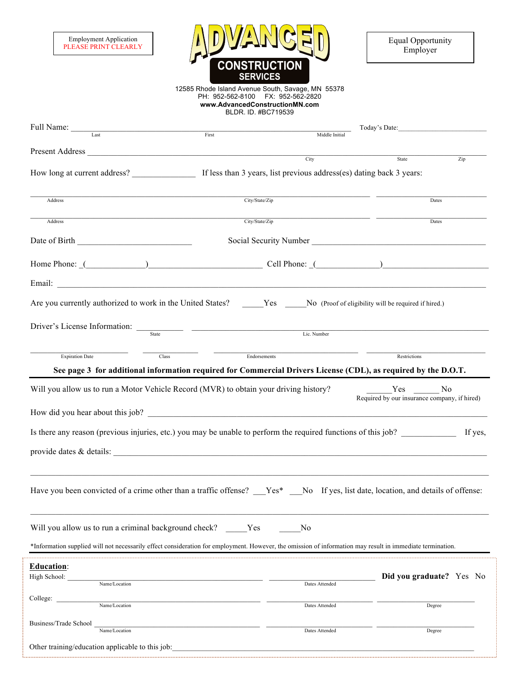| <b>Employment Application</b> |
|-------------------------------|
| PLEASE PRINT CLEARLY          |



12585 Rhode Island Avenue South, Savage, MN 55378 PH: 952-562-8100 FX: 952-562-2820 **www.AdvancedConstructionMN.com** BLDR. ID. #BC719539

| Full Name: Last                                                                                                                                                                                                                 | First          | Middle Initial                                                                                                                                                                                                                 |                                                                                                                |
|---------------------------------------------------------------------------------------------------------------------------------------------------------------------------------------------------------------------------------|----------------|--------------------------------------------------------------------------------------------------------------------------------------------------------------------------------------------------------------------------------|----------------------------------------------------------------------------------------------------------------|
|                                                                                                                                                                                                                                 |                |                                                                                                                                                                                                                                |                                                                                                                |
|                                                                                                                                                                                                                                 |                | City                                                                                                                                                                                                                           | State<br>Zip                                                                                                   |
| Address                                                                                                                                                                                                                         | City/State/Zip |                                                                                                                                                                                                                                | Dates                                                                                                          |
| Address                                                                                                                                                                                                                         | City/State/Zip |                                                                                                                                                                                                                                | Dates                                                                                                          |
|                                                                                                                                                                                                                                 |                |                                                                                                                                                                                                                                |                                                                                                                |
|                                                                                                                                                                                                                                 |                | Home Phone: (Channel Collection Cell Phone: (Channel Cell Phone: (Channel Collection Collection Cell Phone: (Channel Collection Collection Collection Collection Collection Collection Collection Collection Collection Collec |                                                                                                                |
|                                                                                                                                                                                                                                 |                |                                                                                                                                                                                                                                |                                                                                                                |
| Are you currently authorized to work in the United States? ______Yes _____No (Proof of eligibility will be required if hired.)                                                                                                  |                |                                                                                                                                                                                                                                |                                                                                                                |
| Driver's License Information:<br>State  State  State  State  State  State  State  State  State  State  State  State  State  State  State  State  State  State  State  State  State  State  State  State  State  State  State  S |                | Lic. Number                                                                                                                                                                                                                    |                                                                                                                |
| <b>Expiration Date</b><br>Class                                                                                                                                                                                                 | Endorsements   |                                                                                                                                                                                                                                | Restrictions                                                                                                   |
|                                                                                                                                                                                                                                 |                |                                                                                                                                                                                                                                | See page 3 for additional information required for Commercial Drivers License (CDL), as required by the D.O.T. |
| Will you allow us to run a Motor Vehicle Record (MVR) to obtain your driving history?                                                                                                                                           |                |                                                                                                                                                                                                                                | Yes<br>N <sub>0</sub><br>Required by our insurance company, if hired)                                          |
| Is there any reason (previous injuries, etc.) you may be unable to perform the required functions of this job?                                                                                                                  |                |                                                                                                                                                                                                                                | If yes,                                                                                                        |
|                                                                                                                                                                                                                                 |                |                                                                                                                                                                                                                                |                                                                                                                |
|                                                                                                                                                                                                                                 |                |                                                                                                                                                                                                                                |                                                                                                                |
| Have you been convicted of a crime other than a traffic offense? Yes* No If yes, list date, location, and details of offense:                                                                                                   |                |                                                                                                                                                                                                                                |                                                                                                                |
| Will you allow us to run a criminal background check?                                                                                                                                                                           | Yes            | N <sub>0</sub>                                                                                                                                                                                                                 |                                                                                                                |
| *Information supplied will not necessarily effect consideration for employment. However, the omission of information may result in immediate termination.                                                                       |                |                                                                                                                                                                                                                                |                                                                                                                |
| <b>Education:</b><br>High School:<br>Name/Location                                                                                                                                                                              |                | Dates Attended                                                                                                                                                                                                                 | Did you graduate? Yes No                                                                                       |
| College:                                                                                                                                                                                                                        |                |                                                                                                                                                                                                                                |                                                                                                                |
| Name/Location                                                                                                                                                                                                                   |                | Dates Attended                                                                                                                                                                                                                 | Degree                                                                                                         |
| Business/Trade School<br>Name/Location                                                                                                                                                                                          |                | Dates Attended                                                                                                                                                                                                                 | Degree                                                                                                         |
| Other training/education applicable to this job:                                                                                                                                                                                |                |                                                                                                                                                                                                                                |                                                                                                                |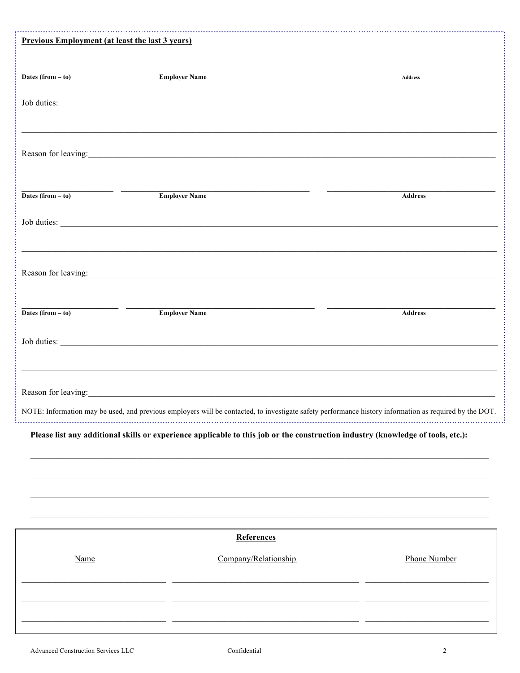| Previous Employment (at least the last 3 years)                                                                                                                                                                                                             |                                                                                                                                                                                                                                |                     |
|-------------------------------------------------------------------------------------------------------------------------------------------------------------------------------------------------------------------------------------------------------------|--------------------------------------------------------------------------------------------------------------------------------------------------------------------------------------------------------------------------------|---------------------|
|                                                                                                                                                                                                                                                             |                                                                                                                                                                                                                                |                     |
| <u> The Communication of the Communication of the Communication of the Communication of the Communication of the Communication of the Communication of the Communication of the Communication of the Communication of the Commun</u><br>Dates $(from - to)$ | <b>Employer Name</b>                                                                                                                                                                                                           | Address             |
|                                                                                                                                                                                                                                                             |                                                                                                                                                                                                                                |                     |
|                                                                                                                                                                                                                                                             |                                                                                                                                                                                                                                |                     |
|                                                                                                                                                                                                                                                             |                                                                                                                                                                                                                                |                     |
|                                                                                                                                                                                                                                                             | Reason for leaving: 1992. The second state of the second state of the second state of the second state of the second state of the second state of the second state of the second state of the second state of the second state |                     |
|                                                                                                                                                                                                                                                             |                                                                                                                                                                                                                                |                     |
| Dates $(from - to)$                                                                                                                                                                                                                                         | <b>Employer Name</b>                                                                                                                                                                                                           | <b>Address</b>      |
|                                                                                                                                                                                                                                                             |                                                                                                                                                                                                                                |                     |
|                                                                                                                                                                                                                                                             |                                                                                                                                                                                                                                |                     |
|                                                                                                                                                                                                                                                             |                                                                                                                                                                                                                                |                     |
|                                                                                                                                                                                                                                                             | Reason for leaving:                                                                                                                                                                                                            |                     |
| Dates (from $-$ to)                                                                                                                                                                                                                                         | <b>Employer Name</b>                                                                                                                                                                                                           | <b>Address</b>      |
|                                                                                                                                                                                                                                                             |                                                                                                                                                                                                                                |                     |
|                                                                                                                                                                                                                                                             |                                                                                                                                                                                                                                |                     |
|                                                                                                                                                                                                                                                             | ,我们也不能在这里的时候,我们也不能在这里的时候,我们也不能不能不能不能不能不能不能不能不能不能不能不能不能不能不能。""我们不能不能不能不能不能不能不能不能不能                                                                                                                                              |                     |
|                                                                                                                                                                                                                                                             | Reason for leaving: example, the state of the state of the state of the state of the state of the state of the state of the state of the state of the state of the state of the state of the state of the state of the state o |                     |
|                                                                                                                                                                                                                                                             | NOTE: Information may be used, and previous employers will be contacted, to investigate safety performance history information as required by the DOT.                                                                         |                     |
|                                                                                                                                                                                                                                                             | Please list any additional skills or experience applicable to this job or the construction industry (knowledge of tools, etc.):                                                                                                |                     |
|                                                                                                                                                                                                                                                             |                                                                                                                                                                                                                                |                     |
|                                                                                                                                                                                                                                                             |                                                                                                                                                                                                                                |                     |
|                                                                                                                                                                                                                                                             |                                                                                                                                                                                                                                |                     |
|                                                                                                                                                                                                                                                             |                                                                                                                                                                                                                                |                     |
|                                                                                                                                                                                                                                                             | References                                                                                                                                                                                                                     |                     |
| Name                                                                                                                                                                                                                                                        | Company/Relationship                                                                                                                                                                                                           | <b>Phone Number</b> |
|                                                                                                                                                                                                                                                             |                                                                                                                                                                                                                                |                     |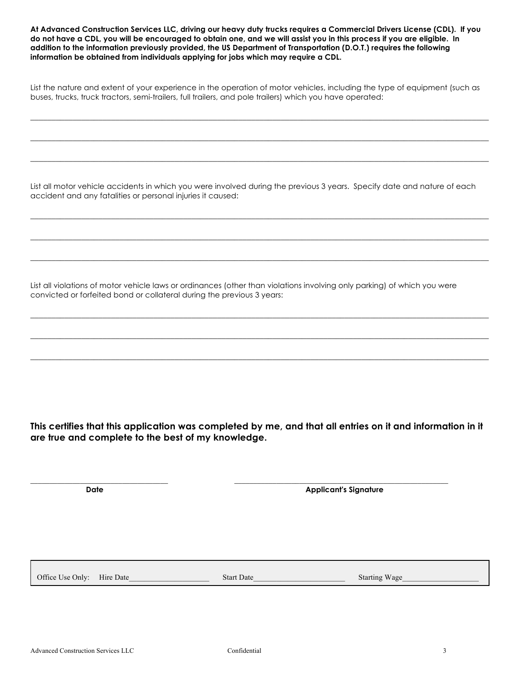**At Advanced Construction Services LLC, driving our heavy duty trucks requires a Commercial Drivers License (CDL). If you do not have a CDL, you will be encouraged to obtain one, and we will assist you in this process if you are eligible. In addition to the information previously provided, the US Department of Transportation (D.O.T.) requires the following information be obtained from individuals applying for jobs which may require a CDL.**

List the nature and extent of your experience in the operation of motor vehicles, including the type of equipment (such as buses, trucks, truck tractors, semi-trailers, full trailers, and pole trailers) which you have operated:

\_\_\_\_\_\_\_\_\_\_\_\_\_\_\_\_\_\_\_\_\_\_\_\_\_\_\_\_\_\_\_\_\_\_\_\_\_\_\_\_\_\_\_\_\_\_\_\_\_\_\_\_\_\_\_\_\_\_\_\_\_\_\_\_\_\_\_\_\_\_\_\_\_\_\_\_\_\_\_\_\_\_\_\_\_\_\_\_\_\_\_\_\_\_\_\_\_\_\_\_\_\_\_\_\_\_\_\_

\_\_\_\_\_\_\_\_\_\_\_\_\_\_\_\_\_\_\_\_\_\_\_\_\_\_\_\_\_\_\_\_\_\_\_\_\_\_\_\_\_\_\_\_\_\_\_\_\_\_\_\_\_\_\_\_\_\_\_\_\_\_\_\_\_\_\_\_\_\_\_\_\_\_\_\_\_\_\_\_\_\_\_\_\_\_\_\_\_\_\_\_\_\_\_\_\_\_\_\_\_\_\_\_\_\_\_\_

\_\_\_\_\_\_\_\_\_\_\_\_\_\_\_\_\_\_\_\_\_\_\_\_\_\_\_\_\_\_\_\_\_\_\_\_\_\_\_\_\_\_\_\_\_\_\_\_\_\_\_\_\_\_\_\_\_\_\_\_\_\_\_\_\_\_\_\_\_\_\_\_\_\_\_\_\_\_\_\_\_\_\_\_\_\_\_\_\_\_\_\_\_\_\_\_\_\_\_\_\_\_\_\_\_\_\_\_

List all motor vehicle accidents in which you were involved during the previous 3 years. Specify date and nature of each accident and any fatalities or personal injuries it caused:

\_\_\_\_\_\_\_\_\_\_\_\_\_\_\_\_\_\_\_\_\_\_\_\_\_\_\_\_\_\_\_\_\_\_\_\_\_\_\_\_\_\_\_\_\_\_\_\_\_\_\_\_\_\_\_\_\_\_\_\_\_\_\_\_\_\_\_\_\_\_\_\_\_\_\_\_\_\_\_\_\_\_\_\_\_\_\_\_\_\_\_\_\_\_\_\_\_\_\_\_\_\_\_\_\_\_\_\_

\_\_\_\_\_\_\_\_\_\_\_\_\_\_\_\_\_\_\_\_\_\_\_\_\_\_\_\_\_\_\_\_\_\_\_\_\_\_\_\_\_\_\_\_\_\_\_\_\_\_\_\_\_\_\_\_\_\_\_\_\_\_\_\_\_\_\_\_\_\_\_\_\_\_\_\_\_\_\_\_\_\_\_\_\_\_\_\_\_\_\_\_\_\_\_\_\_\_\_\_\_\_\_\_\_\_\_\_

 $\_$  , and the set of the set of the set of the set of the set of the set of the set of the set of the set of the set of the set of the set of the set of the set of the set of the set of the set of the set of the set of th

\_\_\_\_\_\_\_\_\_\_\_\_\_\_\_\_\_\_\_\_\_\_\_\_\_\_\_\_\_\_\_\_\_\_\_\_\_\_\_\_\_\_\_\_\_\_\_\_\_\_\_\_\_\_\_\_\_\_\_\_\_\_\_\_\_\_\_\_\_\_\_\_\_\_\_\_\_\_\_\_\_\_\_\_\_\_\_\_\_\_\_\_\_\_\_\_\_\_\_\_\_\_\_\_\_\_\_\_

 $\_$  , and the set of the set of the set of the set of the set of the set of the set of the set of the set of the set of the set of the set of the set of the set of the set of the set of the set of the set of the set of th

\_\_\_\_\_\_\_\_\_\_\_\_\_\_\_\_\_\_\_\_\_\_\_\_\_\_\_\_\_\_\_\_\_\_\_\_\_\_\_\_\_\_\_\_\_\_\_\_\_\_\_\_\_\_\_\_\_\_\_\_\_\_\_\_\_\_\_\_\_\_\_\_\_\_\_\_\_\_\_\_\_\_\_\_\_\_\_\_\_\_\_\_\_\_\_\_\_\_\_\_\_\_\_\_\_\_\_\_

List all violations of motor vehicle laws or ordinances (other than violations involving only parking) of which you were convicted or forfeited bond or collateral during the previous 3 years:

**This certifies that this application was completed by me, and that all entries on it and information in it are true and complete to the best of my knowledge.**

**Date Date Applicant's Signature** 

Office Use Only: Hire Date\_\_\_\_\_\_\_\_\_\_\_\_\_\_\_\_\_\_\_\_\_ Start Date\_\_\_\_\_\_\_\_\_\_\_\_\_\_\_\_\_\_\_\_\_\_\_\_ Starting Wage\_\_\_\_\_\_\_\_\_\_\_\_\_\_\_\_\_\_\_\_

**\_\_\_\_\_\_\_\_\_\_\_\_\_\_\_\_\_\_\_\_\_\_\_\_\_\_\_\_\_\_\_\_\_\_\_\_ \_\_\_\_\_\_\_\_\_\_\_\_\_\_\_\_\_\_\_\_\_\_\_\_\_\_\_\_\_\_\_\_\_\_\_\_\_\_\_\_\_\_\_\_\_\_\_\_\_\_\_\_\_\_\_\_**